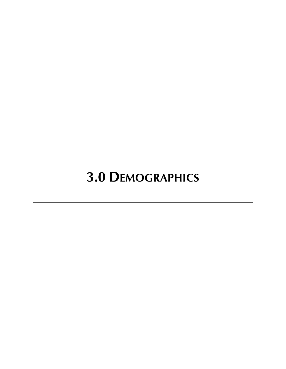# **3.0 DEMOGRAPHICS**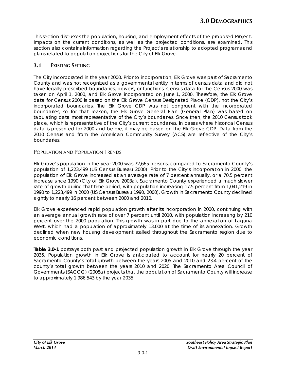This section discusses the population, housing, and employment effects of the proposed Project. Impacts on the current conditions, as well as the projected conditions, are examined. This section also contains information regarding the Project's relationship to adopted programs and plans related to population projections for the City of Elk Grove.

# **3.1 EXISTING SETTING**

The City incorporated in the year 2000. Prior to incorporation, Elk Grove was part of Sacramento County and was not recognized as a governmental entity in terms of census data and did not have legally prescribed boundaries, powers, or functions. Census data for the Census 2000 was taken on April 1, 2000, and Elk Grove incorporated on June 1, 2000. Therefore, the Elk Grove data for Census 2000 is based on the Elk Grove Census Designated Place (CDP), not the City's incorporated boundaries. The Elk Grove CDP was not congruent with the incorporated boundaries, so for that reason, the Elk Grove General Plan (General Plan) was based on tabulating data most representative of the City's boundaries. Since then, the 2010 Census took place, which is representative of the City's current boundaries. In cases where historical Census data is presented for 2000 and before, it may be based on the Elk Grove CDP. Data from the 2010 Census and from the American Community Survey (ACS) are reflective of the City's boundaries.

# POPULATION AND POPULATION TRENDS

Elk Grove's population in the year 2000 was 72,665 persons, compared to Sacramento County's population of 1,223,499 (US Census Bureau 2000). Prior to the City's incorporation in 2000, the population of Elk Grove increased at an average rate of 7 percent annually, or a 70.5 percent increase since 1990 (City of Elk Grove 2003a). Sacramento County experienced a much slower rate of growth during that time period, with population increasing 17.5 percent from 1,041,219 in 1990 to 1,223,499 in 2000 (US Census Bureau 1990, 2000). Growth in Sacramento County declined slightly to nearly 16 percent between 2000 and 2010.

Elk Grove experienced rapid population growth after its incorporation in 2000, continuing with an average annual growth rate of over 7 percent until 2010, with population increasing by 210 percent over the 2000 population. This growth was in part due to the annexation of Laguna West, which had a population of approximately 13,000 at the time of its annexation. Growth declined when new housing development stalled throughout the Sacramento region due to economic conditions.

**Table 3.0-1** portrays both past and projected population growth in Elk Grove through the year 2035. Population growth in Elk Grove is anticipated to account for nearly 20 percent of Sacramento County's total growth between the years 2005 and 2010 and 23.4 percent of the county's total growth between the years 2010 and 2020. The Sacramento Area Council of Governments (SACOG) (2008a) projects that the population of Sacramento County will increase to approximately 1,986,543 by the year 2035.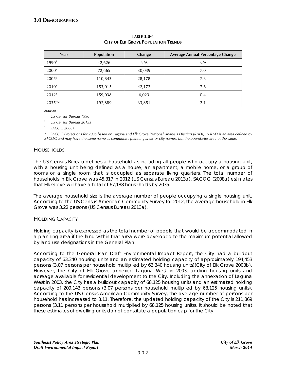| Year              | Population | Change | Average Annual Percentage Change |
|-------------------|------------|--------|----------------------------------|
| $1990^1$          | 42,626     | N/A    | N/A                              |
| 2000 <sup>1</sup> | 72,665     | 30,039 | 7.0                              |
| $2005^2$          | 110,843    | 28,178 | 7.8                              |
| $2010^3$          | 153,015    | 42,172 | 7.6                              |
| $2012^3$          | 159,038    | 6,023  | 0.4                              |
| $2035*^2$         | 192,889    | 33,851 | 2.1                              |

#### **TABLE 3.0-1 CITY OF ELK GROVE POPULATION TRENDS**

*Sources:* 

*<sup>1</sup> US Census Bureau 1990*

*<sup>2</sup> US Census Bureau 2013a*

*<sup>3</sup> SACOG 2008a*

*\* SACOG Projections for 2035 based on Laguna and Elk Grove Regional Analysis Districts (RADs). A RAD is an area defined by SACOG and may have the same name as community planning areas or city names, but the boundaries are not the same.*

# **HOUSEHOLDS**

The US Census Bureau defines a household as including all people who occupy a housing unit, with a housing unit being defined as a house, an apartment, a mobile home, or a group of rooms or a single room that is occupied as separate living quarters. The total number of households in Elk Grove was 45,317 in 2012 (US Census Bureau 2013a). SACOG (2008a) estimates that Elk Grove will have a total of 67,188 households by 2035.

The average household size is the average number of people occupying a single housing unit. According to the US Census American Community Survey for 2012, the average household in Elk Grove was 3.22 persons (US Census Bureau 2013a).

# HOLDING CAPACITY

Holding capacity is expressed as the total number of people that would be accommodated in a planning area if the land within that area were developed to the maximum potential allowed by land use designations in the General Plan.

According to the General Plan Draft Environmental Impact Report, the City had a buildout capacity of 63,340 housing units and an estimated holding capacity of approximately 194,453 persons (3.07 persons per household multiplied by 63,340 housing units)(City of Elk Grove 2003b). However, the City of Elk Grove annexed Laguna West in 2003, adding housing units and acreage available for residential development to the City. Including the annexation of Laguna West in 2003, the City has a buildout capacity of 68,125 housing units and an estimated holding capacity of 209,143 persons (3.07 persons per household multiplied by 68,125 housing units). According to the US Census American Community Survey, the average number of persons per household has increased to 3.11. Therefore, the updated holding capacity of the City is 211,869 persons (3.11 persons per household multiplied by 68,125 housing units). It should be noted that these estimates of dwelling units do not constitute a population cap for the City.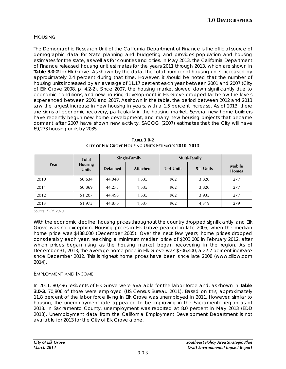# HOUSING

The Demographic Research Unit of the California Department of Finance is the official source of demographic data for State planning and budgeting and provides population and housing estimates for the state, as well as for counties and cities. In May 2013, the California Department of Finance released housing unit estimates for the years 2011 through 2013, which are shown in **Table 3.0-2** for Elk Grove. As shown by the data, the total number of housing units increased by approximately 2.4 percent during that time. However, it should be noted that the number of housing units increased by an average of 11.17 percent each year between 2001 and 2007 (City of Elk Grove 2008, p. 4.2-2). Since 2007, the housing market slowed down significantly due to economic conditions, and new housing development in Elk Grove dropped far below the levels experienced between 2001 and 2007. As shown in the table, the period between 2012 and 2013 saw the largest increase in new housing in years, with a 1.5 percent increase. As of 2013, there are signs of economic recovery, particularly in the housing market. Several new home builders have recently begun new home development, and many new housing projects that became dormant after 2007 have shown new activity. SACOG (2007) estimates that the City will have 69,273 housing units by 2035.

| Year | <b>Total</b><br><b>Housing</b><br><b>Units</b> | Single-Family   |                 | Multi-Family |             |                               |
|------|------------------------------------------------|-----------------|-----------------|--------------|-------------|-------------------------------|
|      |                                                | <b>Detached</b> | <b>Attached</b> | 2–4 Units    | $5 +$ Units | <b>Mobile</b><br><b>Homes</b> |
| 2010 | 50,634                                         | 44,040          | 1,535           | 962          | 3,820       | 277                           |
| 2011 | 50,869                                         | 44,275          | 1,535           | 962          | 3,820       | 277                           |
| 2012 | 51,207                                         | 44,498          | 1,535           | 962          | 3,935       | 277                           |
| 2013 | 51,973                                         | 44,876          | 1,537           | 962          | 4,319       | 279                           |

**TABLE 3.0-2 CITY OF ELK GROVE HOUSING UNITS ESTIMATES 2010–2013**

*Source: DOF 2013*

With the economic decline, housing prices throughout the country dropped significantly, and Elk Grove was no exception. Housing prices in Elk Grove peaked in late 2005, when the median home price was \$488,000 (December 2005). Over the next few years, home prices dropped considerably each year, reaching a minimum median price of \$203,000 in February 2012, after which prices began rising as the housing market began recovering in the region. As of December 31, 2013, the average home price in Elk Grove was \$306,400, a 27.7 percent increase since December 2012. This is highest home prices have been since late 2008 (www.zillow.com 2014).

# EMPLOYMENT AND INCOME

In 2011, 80,496 residents of Elk Grove were available for the labor force and, as shown in **Table 3.0-3**, 70,806 of those were employed (US Census Bureau 2011). Based on this, approximately 11.8 percent of the labor force living in Elk Grove was unemployed in 2011. However, similar to housing, the unemployment rate appeared to be improving in the Sacramento region as of 2013. In Sacramento County, unemployment was reported at 8.0 percent in May 2013 (EDD 2013). Unemployment data from the California Employment Development Department is not available for 2013 for the City of Elk Grove alone.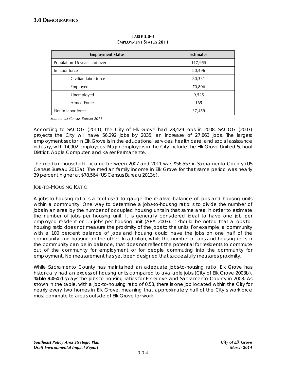| <b>Employment Status</b>     | <b>Estimates</b> |  |
|------------------------------|------------------|--|
| Population 16 years and over | 117,955          |  |
| In labor force               | 80,496           |  |
| Civilian labor force         | 80,331           |  |
| Employed                     | 70,806           |  |
| Unemployed                   | 9,525            |  |
| <b>Armed Forces</b>          | 165              |  |
| Not in labor force           | 37,459           |  |

**TABLE 3.0-3 EMPLOYMENT STATUS 2011**

*Source: US Census Bureau 2011*

According to SACOG (2011), the City of Elk Grove had 28,429 jobs in 2008. SACOG (2007) projects the City will have 56,292 jobs by 2035, an increase of 27,863 jobs. The largest employment sector in Elk Grove is in the educational services, health care, and social assistance industry, with 14,902 employees. Major employers in the City include the Elk Grove Unified School District, Apple Computer, and Kaiser Permanente.

The median household income between 2007 and 2011 was \$56,553 in Sacramento County (US Census Bureau 2013a). The median family income in Elk Grove for that same period was nearly 39 percent higher at \$78,564 (US Census Bureau 2013b).

# JOB-TO-HOUSING RATIO

A jobs-to-housing ratio is a tool used to gauge the relative balance of jobs and housing units within a community. One way to determine a jobs-to-housing ratio is to divide the number of jobs in an area by the number of occupied housing units in that same area in order to estimate the number of jobs per housing unit. It is generally considered ideal to have one job per employed resident or 1.5 jobs per housing unit (APA 2003). It should be noted that a jobs-tohousing ratio does not measure the proximity of the jobs to the units. For example, a community with a 100 percent balance of jobs and housing could have the jobs on one half of the community and housing on the other. In addition, while the number of jobs and housing units in the community can be in balance, that does not reflect the potential for residents to commute out of the community for employment or for people commuting into the community for employment. No measurement has yet been designed that successfully measures proximity.

While Sacramento County has maintained an adequate jobs-to-housing ratio, Elk Grove has historically had an excess of housing units compared to available jobs (City of Elk Grove 2003b). **Table 3.0-4** displays the jobs-to-housing ratios for Elk Grove and Sacramento County in 2008. As shown in the table, with a job-to-housing ratio of 0.58, there is one job located within the City for nearly every two homes in Elk Grove, meaning that approximately half of the City's workforce must commute to areas outside of Elk Grove for work.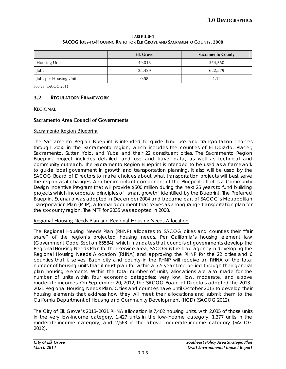**TABLE 3.0-4 SACOG JOBS-TO-HOUSING RATIO FOR ELK GROVE AND SACRAMENTO COUNTY, 2008**

|                       | <b>Elk Grove</b> | <b>Sacramento County</b> |
|-----------------------|------------------|--------------------------|
| <b>Housing Units</b>  | 49,018           | 554,360                  |
| Jobs                  | 28,429           | 622,579                  |
| Jobs per Housing Unit | 0.58             | 1.12                     |

*Source: SACOG 2011*

# **3.2 REGULATORY FRAMEWORK**

REGIONAL

#### **Sacramento Area Council of Governments**

#### Sacramento Region Blueprint

The Sacramento Region Blueprint is intended to guide land use and transportation choices through 2050 in the Sacramento region, which includes the counties of El Dorado, Placer, Sacramento, Sutter, Yolo, and Yuba and their 22 constituent cities. The Sacramento Region Blueprint project includes detailed land use and travel data, as well as technical and community outreach. The Sacramento Region Blueprint is intended to be used as a framework to guide local government in growth and transportation planning. It also will be used by the SACOG Board of Directors to make choices about what transportation projects will best serve the region as it changes. Another important component of the Blueprint effort is a Community Design Incentive Program that will provide \$500 million during the next 25 years to fund building projects which incorporate principles of "smart growth" identified by the Blueprint. The Preferred Blueprint Scenario was adopted in December 2004 and became part of SACOG's Metropolitan Transportation Plan (MTP), a formal document that serves as a long-range transportation plan for the six-county region. The MTP for 2035 was adopted in 2008.

# Regional Housing Needs Plan and Regional Housing Needs Allocation

The Regional Housing Needs Plan (RHNP) allocates to SACOG cities and counties their "fair share" of the region's projected housing needs. Per California's housing element law (Government Code Section 65584), which mandates that councils of governments develop the Regional Housing Needs Plan for their service area, SACOG is the lead agency in developing the Regional Housing Needs Allocation (RHNA) and approving the RHNP for the 22 cities and 6 counties that it serves. Each city and county in the RHNP will receive an RHNA of the total number of housing units that it must plan for within a 7.5-year time period through their general plan housing elements. Within the total number of units, allocations are also made for the number of units within four economic categories: very low, low, moderate, and above moderate incomes. On September 20, 2012, the SACOG Board of Directors adopted the 2013– 2021 Regional Housing Needs Plan. Cities and counties have until October 2013 to develop their housing elements that address how they will meet their allocations and submit them to the California Department of Housing and Community Development (HCD) (SACOG 2012).

The City of Elk Grove's 2013–2021 RHNA allocation is 7,402 housing units, with 2,035 of those units in the very low-income category, 1,427 units in the low-income category, 1,377 units in the moderate-income category, and 2,563 in the above moderate-income category (SACOG 2012).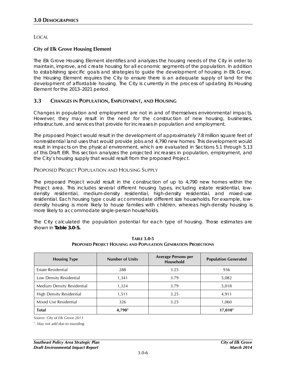LOCAL

# **City of Elk Grove Housing Element**

The Elk Grove Housing Element identifies and analyzes the housing needs of the City in order to maintain, improve, and create housing for all economic segments of the population. In addition to establishing specific goals and strategies to guide the development of housing in Elk Grove, the Housing Element requires the City to ensure there is an adequate supply of land for the development of affordable housing. The City is currently in the process of updating its Housing Element for the 2013–2021 period.

# **3.3 CHANGES IN POPULATION, EMPLOYMENT, AND HOUSING**

Changes in population and employment are not in and of themselves environmental impacts. However, they may result in the need for the construction of new housing, businesses, infrastructure, and services that provide for increases in population and employment.

The proposed Project would result in the development of approximately 7.8 million square feet of nonresidential land uses that would provide jobs and 4,790 new homes. This development would result in impacts on the physical environment, which are evaluated in Sections 5.1 through 5.13 of this Draft EIR. This section analyzes the projected increases in population, employment, and the City's housing supply that would result from the proposed Project.

# PROPOSED PROJECT POPULATION AND HOUSING SUPPLY

The proposed Project would result in the construction of up to 4,790 new homes within the Project area. This includes several different housing types, including estate residential, lowdensity residential, medium-density residential, high-density residential, and mixed-use residential. Each housing type could accommodate different size households. For example, lowdensity housing is more likely to house families with children, whereas high-density housing is more likely to accommodate single-person households.

The City calculated the population potential for each type of housing. Those estimates are shown in **Table 3.0-5.** 

| <b>Housing Type</b>        | <b>Number of Units</b> | <b>Average Persons per</b><br><b>Household</b> | <b>Population Generated</b> |
|----------------------------|------------------------|------------------------------------------------|-----------------------------|
| Estate Residential         | 288                    | 3.25                                           | 936                         |
| Low Density Residential    | 1,341                  | 3.79                                           | 5,082                       |
| Medium Density Residential | 1,324                  | 3.79                                           | 5,018                       |
| High Density Residential   | 1,511                  | 3.25                                           | 4,911                       |
| Mixed Use Residential      | 326                    | 3.25                                           | 1,060                       |
| <b>Total</b>               | 4,790 <sup>1</sup>     |                                                | 17,010 <sup>1</sup>         |

**TABLE 3.0-5 PROPOSED PROJECT HOUSING AND POPULATION GENERATION PROJECTIONS**

*Source: City of Elk Grove 2013*

*1 . May not add due to rounding.*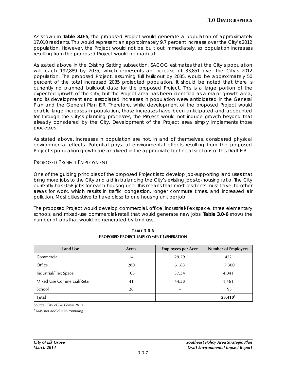As shown in **Table 3.0-5**, the proposed Project would generate a population of approximately 17,010 residents. This would represent an approximately 9.7 percent increase over the City's 2012 population. However, the Project would not be built out immediately, so population increases resulting from the proposed Project would be gradual.

As stated above in the Existing Setting subsection, SACOG estimates that the City's population will reach 192,889 by 2035, which represents an increase of 33,851 over the City's 2012 population. The proposed Project, assuming full buildout by 2035, would be approximately 50 percent of the total increased 2035 projected population. It should be noted that there is currently no planned buildout date for the proposed Project. This is a large portion of the expected growth of the City, but the Project area has been identified as a major growth area, and its development and associated increases in population were anticipated in the General Plan and the General Plan EIR. Therefore, while development of the proposed Project would enable large increases in population, those increases have been anticipated and accounted for through the City's planning processes; the Project would not induce growth beyond that already considered by the City. Development of the Project area simply implements those processes.

As stated above, increases in population are not, in and of themselves, considered physical environmental effects. Potential physical environmental effects resulting from the proposed Project's population growth are analyzed in the appropriate technical sections of this Draft EIR.

# PROPOSED PROJECT EMPLOYMENT

One of the guiding principles of the proposed Project is to develop job-supporting land uses that bring more jobs to the City and aid in balancing the City's existing jobs-to-housing ratio. The City currently has 0.58 jobs for each housing unit. This means that most residents must travel to other areas for work, which results in traffic congestion, longer commute times, and increased air pollution. Most cities strive to have close to one housing unit per job.

The proposed Project would develop commercial, office, industrial/flex space, three elementary schools, and mixed-use commercial/retail that would generate new jobs. **Table 3.0-6** shows the number of jobs that would be generated by land use.

| <b>Land Use</b>             | Acres | <b>Employees per Acre</b> | <b>Number of Employees</b> |
|-----------------------------|-------|---------------------------|----------------------------|
| Commercial                  | 14    | 29.79                     | 422                        |
| Office                      | 280   | 61.83                     | 17,300                     |
| Industrial/Flex Space       | 108   | 37.34                     | 4,041                      |
| Mixed Use Commercial/Retail | 41    | 44,38                     | 1,461                      |
| School                      | 28    |                           | 195                        |
| <b>Total</b>                |       |                           | 23,410 <sup>1</sup>        |

#### **TABLE 3.0-6 PROPOSED PROJECT EMPLOYMENT GENERATION**

*Source: City of Elk Grove 2013*

*<sup>1</sup> May not add due to rounding.*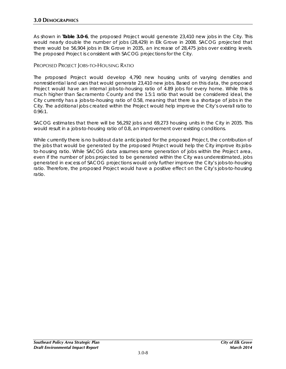As shown in **Table 3.0-6**, the proposed Project would generate 23,410 new jobs in the City. This would nearly double the number of jobs (28,429) in Elk Grove in 2008. SACOG projected that there would be 56,904 jobs in Elk Grove in 2035, an increase of 28,475 jobs over existing levels. The proposed Project is consistent with SACOG projections for the City.

# PROPOSED PROJECT JOBS-TO-HOUSING RATIO

The proposed Project would develop 4,790 new housing units of varying densities and nonresidential land uses that would generate 23,410 new jobs. Based on this data, the proposed Project would have an internal jobs-to-housing ratio of 4.89 jobs for every home. While this is much higher than Sacramento County and the 1.5:1 ratio that would be considered ideal, the City currently has a jobs-to-housing ratio of 0.58, meaning that there is a shortage of jobs in the City. The additional jobs created within the Project would help improve the City's overall ratio to 0.96:1.

SACOG estimates that there will be 56,292 jobs and 69,273 housing units in the City in 2035. This would result in a jobs-to-housing ratio of 0.8, an improvement over existing conditions.

While currently there is no buildout date anticipated for the proposed Project, the contribution of the jobs that would be generated by the proposed Project would help the City improve its jobsto-housing ratio. While SACOG data assumes some generation of jobs within the Project area, even if the number of jobs projected to be generated within the City was underestimated, jobs generated in excess of SACOG projections would only further improve the City's jobs-to-housing ratio. Therefore, the proposed Project would have a positive effect on the City's jobs-to-housing ratio.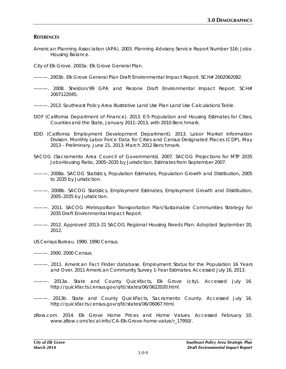# **REFERENCES**

American Planning Association (APA). 2003. Planning Advisory Service Report Number 516: Jobs-Housing Balance.

City of Elk Grove. 2003a. *Elk Grove General Plan*.

- ———. 2003b. *Elk Grove General Plan Draft Environmental Impact Report*. SCH# 2002062082.
- ———. 2008. *Sheldon/99 GPA and Rezone Draft Environmental Impact Report*. SCH# 2007122045.
- ———. 2013. Southeast Policy Area Illustrative Land Use Plan Land Use Calculations Table.
- DOF (California Department of Finance). 2013. *E-5 Population and Housing Estimates for Cities, Counties and the State, January 2011–2013, with 2010 Benchmark.*
- EDD (California Employment Development Department). 2013. Labor Market Information Division. *Monthly Labor Force Data for Cities and Census Designated Places (CDP), May 2013 – Preliminary*. June 21, 2013; March 2012 Benchmark.
- SACOG (Sacramento Area Council of Governments). 2007. *SACOG Projections for MTP 2035 Jobs-Housing Ratio, 2005–2035 by Jurisdiction.* Estimates from September 2007.
- -- 2008a. *SACOG Statistics, Population Estimates, Population Growth and Distribution, 2005 to 2035 by Jurisdiction.*
- ———. 2008b. *SACOG Statistics, Employment Estimates, Employment Growth and Distribution, 2005–2035 by Jurisdiction.*
- ———. 2011. *SACOG Metropolitan Transportation Plan/Sustainable Communities Strategy for 2035 Draft Environmental Impact Report.*
- ———. 2012. *Approved 2013–21 SACOG Regional Housing Needs Plan. Adopted September 20, 2012.*
- US Census Bureau. 1990. 1990 Census.
- ———. 2000. 2000 Census.
- ———. 2011. American Fact Finder database. Employment Status for the Population 16 Years and Over, 2011 American Community Survey 1-Year Estimates. Accessed July 16, 2013.
- ———. 2013a. State and County Quickfacts, Elk Grove (city). Accessed July 16. http://quickfacts.census.gov/qfd/states/06/0622020.html.
- ———. 2013b. State and County QuickFacts, Sacramento County. Accessed July 16. http://quickfacts.census.gov/qfd/states/06/06067.html.
- zillow.com. 2014. Elk Grove Home Prices and Home Values. Accessed February 10. www.zillow.com/local-info/CA-Elk-Grove-home-value/r\_17950/.